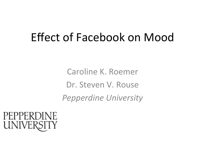#### Effect of Facebook on Mood

Caroline K. Roemer Dr. Steven V. Rouse **Pepperdine University** 

#### PEPPERDINE UNIVERSITY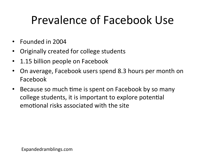## Prevalence of Facebook Use

- Founded in 2004
- Originally created for college students
- 1.15 billion people on Facebook
- On average, Facebook users spend 8.3 hours per month on Facebook
- Because so much time is spent on Facebook by so many college students, it is important to explore potential emotional risks associated with the site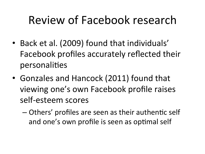## Review of Facebook research

- Back et al. (2009) found that individuals' Facebook profiles accurately reflected their personalities
- Gonzales and Hancock (2011) found that viewing one's own Facebook profile raises self-esteem scores
	- $-$  Others' profiles are seen as their authentic self and one's own profile is seen as optimal self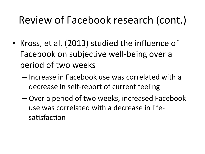#### Review of Facebook research (cont.)

- Kross, et al. (2013) studied the influence of Facebook on subjective well-being over a period of two weeks
	- $-$  Increase in Facebook use was correlated with a decrease in self-report of current feeling
	- $-$  Over a period of two weeks, increased Facebook use was correlated with a decrease in lifesatisfaction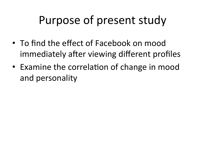### Purpose of present study

- To find the effect of Facebook on mood immediately after viewing different profiles
- Examine the correlation of change in mood and personality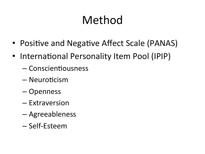## Method

- Positive and Negative Affect Scale (PANAS)
- International Personality Item Pool (IPIP)
	- $-$  Conscientiousness
	- Neuroticism
	- Openness
	- Extraversion
	- Agreeableness
	- Self-Esteem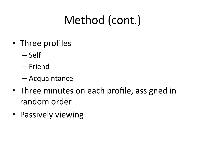## Method (cont.)

- Three profiles
	- Self
	- Friend
	- Acquaintance
- Three minutes on each profile, assigned in random order
- Passively viewing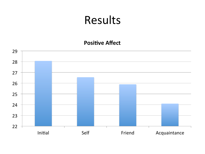#### Results

#### **Positive Affect**

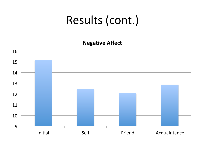**Negative Affect** 

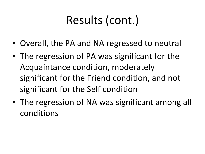- Overall, the PA and NA regressed to neutral
- The regression of PA was significant for the Acquaintance condition, moderately significant for the Friend condition, and not significant for the Self condition
- The regression of NA was significant among all conditions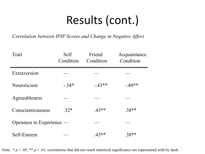*Correlation between IPIP Scores and Change in Negative Affect*

| Trait                    | Self<br>Condition | Friend<br>Condition | Acquaintance<br>Condition |
|--------------------------|-------------------|---------------------|---------------------------|
| Extraversion             |                   |                     |                           |
| Neuroticism              | $-34*$            | $-43**$             | $-.40**$                  |
| Agreeableness            |                   |                     |                           |
| Conscientiousness        | $.32*$            | $.43**$             | $.38**$                   |
| Openness to Experience — |                   |                     |                           |
| Self-Esteem              |                   | $.43**$             | 38**                      |

Note.  $* p < .05; ** p < .01$ ; correlations that did not reach statistical significance are represented with by dash.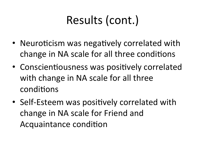- Neuroticism was negatively correlated with change in NA scale for all three conditions
- Conscientiousness was positively correlated with change in NA scale for all three conditions
- Self-Esteem was positively correlated with change in NA scale for Friend and Acquaintance condition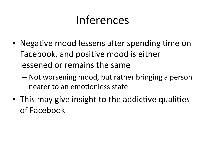### Inferences

- Negative mood lessens after spending time on Facebook, and positive mood is either lessened or remains the same
	- $-$  Not worsening mood, but rather bringing a person nearer to an emotionless state
- This may give insight to the addictive qualities of Facebook